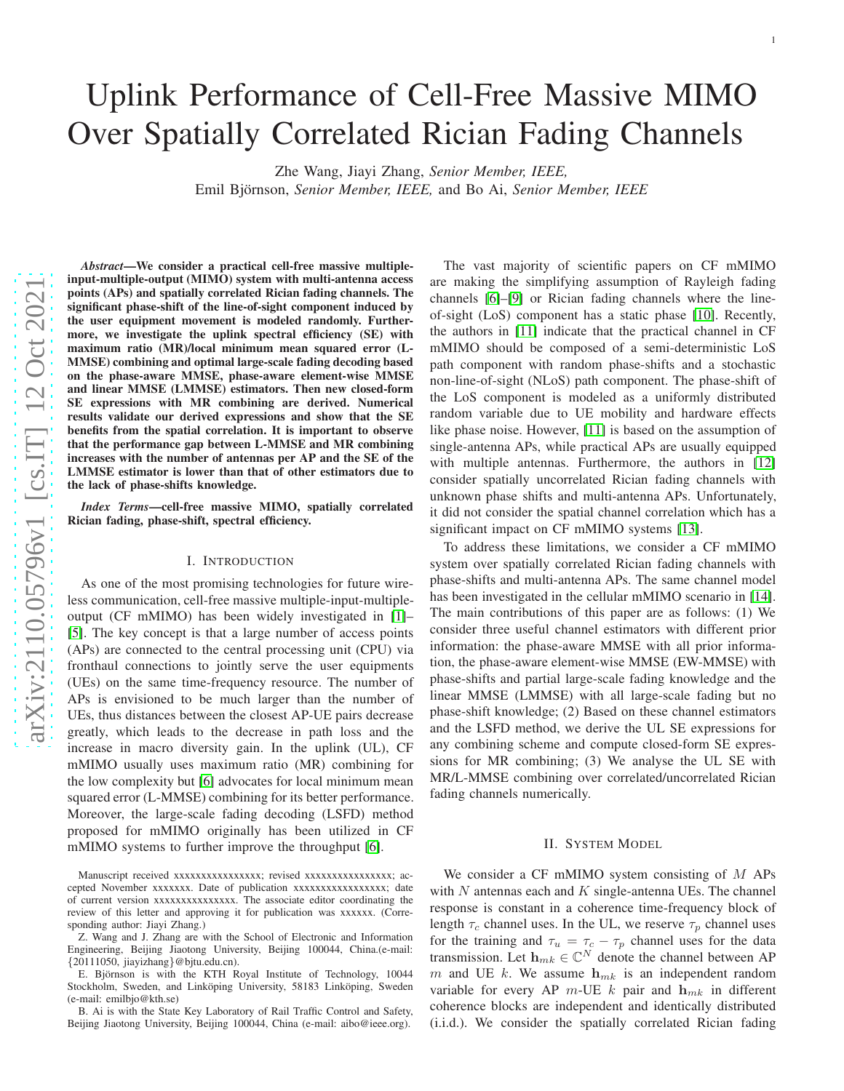# Uplink Performance of Cell-Free Massive MIMO Over Spatially Correlated Rician Fading Channels

Zhe Wang, Jiayi Zhang, *Senior Member, IEEE,*

Emil Björnson, *Senior Member, IEEE*, and Bo Ai, *Senior Member, IEEE* 

*Abstract*—We consider a practical cell-free massive multipleinput-multiple-output (MIMO) system with multi-antenna access points (APs) and spatially correlated Rician fading channels. The significant phase-shift of the line-of-sight component induced by the user equipment movement is modeled randomly. Furthermore, we investigate the uplink spectral efficiency (SE) with maximum ratio (MR)/local minimum mean squared error (L-MMSE) combining and optimal large-scale fading decoding based on the phase-aware MMSE, phase-aware element-wise MMSE and linear MMSE (LMMSE) estimators. Then new closed-form SE expressions with MR combining are derived. Numerical results validate our derived expressions and show that the S E benefits from the spatial correlation. It is important to observe that the performance gap between L-MMSE and MR combining increases with the number of antennas per AP and the SE of the LMMSE estimator is lower than that of other estimators due to the lack of phase-shifts knowledge.

*Index Terms*—cell-free massive MIMO, spatially correlated Rician fading, phase-shift, spectral efficiency.

# I. INTRODUCTION

As one of the most promising technologies for future wireless communication, cell-free massive multiple-input-multipleoutput (CF mMIMO) has been widely investigated in [\[1\]](#page-4-0)– [\[5\]](#page-4-1). The key concept is that a large number of access points (APs) are connected to the central processing unit (CPU) via fronthaul connections to jointly serve the user equipments (UEs) on the same time-frequency resource. The number of APs is envisioned to be much larger than the number of UEs, thus distances between the closest AP-UE pairs decreas e greatly, which leads to the decrease in path loss and the increase in macro diversity gain. In the uplink (UL), CF mMIMO usually uses maximum ratio (MR) combining for the low complexity but [\[6\]](#page-4-2) advocates for local minimum mean squared error (L-MMSE) combining for its better performance. Moreover, the large-scale fading decoding (LSFD) method proposed for mMIMO originally has been utilized in CF mMIMO systems to further improve the throughput [\[6\]](#page-4-2).

Manuscript received xxxxxxxxxxxxxxxx; revised xxxxxxxxxxxxxxxxxx; accepted November xxxxxxxx. Date of publication xxxxxxxxxxxxxxxxxxx; date of current version xxxxxxxxxxxxxxx. The associate editor coordinating the review of this letter and approving it for publication was xxxxxx. (Corresponding author: Jiayi Zhang.)

Z. Wang and J. Zhang are with the School of Electronic and Information Engineering, Beijing Jiaotong University, Beijing 100044, China.(e-mail: {20111050, jiayizhang}@bjtu.edu.cn).

E. Björnson is with the KTH Royal Institute of Technology, 10044 Stockholm, Sweden, and Linköping University, 58183 Linköping, Sweden (e-mail: emilbjo@kth.se)

B. Ai is with the State Key Laboratory of Rail Traffic Control and Safety, Beijing Jiaotong University, Beijing 100044, China (e-mail: aibo@ieee.org).

The vast majority of scientific papers on CF mMIMO are making the simplifying assumption of Rayleigh fading channels [\[6\]](#page-4-2)–[\[9\]](#page-4-3) or Rician fading channels where the lineof-sight (LoS) component has a static phase [\[10\]](#page-4-4). Recently, the authors in [\[11\]](#page-4-5) indicate that the practical channel in CF mMIMO should be composed of a semi-deterministic LoS path component with random phase-shifts and a stochastic non-line-of-sight (NLoS) path component. The phase-shift of the LoS component is modeled as a uniformly distributed random variable due to UE mobility and hardware effects like phase noise. However, [\[11\]](#page-4-5) is based on the assumption of single-antenna APs, while practical APs are usually equipped with multiple antennas. Furthermore, the authors in [\[12\]](#page-4-6) consider spatially uncorrelated Rician fading channels with unknown phase shifts and multi-antenna APs. Unfortunately , it did not consider the spatial channel correlation which has a significant impact on CF mMIMO systems [\[13\]](#page-4-7).

To address these limitations, we consider a CF mMIMO system over spatially correlated Rician fading channels with phase-shifts and multi-antenna APs. The same channel model has been investigated in the cellular mMIMO scenario in [\[14\]](#page-4-8) . The main contributions of this paper are as follows: (1) We consider three useful channel estimators with different prior information: the phase-aware MMSE with all prior information, the phase-aware element-wise MMSE (EW-MMSE) with phase-shifts and partial large-scale fading knowledge and the linear MMSE (LMMSE) with all large-scale fading but no phase-shift knowledge; (2) Based on these channel estimators and the LSFD method, we derive the UL SE expressions for any combining scheme and compute closed-form SE expressions for MR combining; (3) We analyse the UL SE with MR/L-MMSE combining over correlated/uncorrelated Rician fading channels numerically.

### II. SYSTEM MODEL

We consider a CF mMIMO system consisting of  $M$  APs with  $N$  antennas each and  $K$  single-antenna UEs. The channel response is constant in a coherence time-frequency block of length  $\tau_c$  channel uses. In the UL, we reserve  $\tau_p$  channel uses for the training and  $\tau_u = \tau_c - \tau_p$  channel uses for the data transmission. Let  $\mathbf{h}_{mk} \in \mathbb{C}^N$  denote the channel between AP m and UE k. We assume  $h_{mk}$  is an independent random variable for every AP  $m$ -UE  $k$  pair and  $\mathbf{h}_{mk}$  in different coherence blocks are independent and identically distributed (i.i.d.). We consider the spatially correlated Rician fading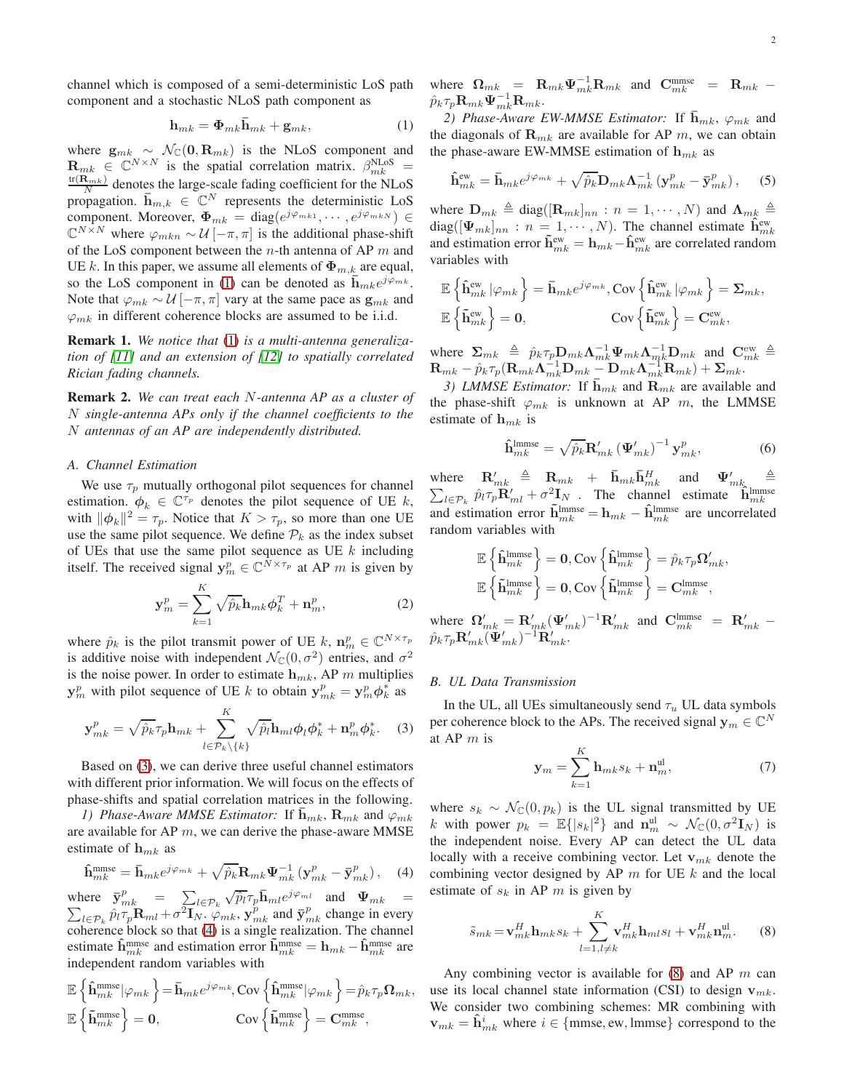channel which is composed of a semi-deterministic LoS path component and a stochastic NLoS path component as

<span id="page-1-0"></span>
$$
\mathbf{h}_{mk} = \mathbf{\Phi}_{mk}\mathbf{\bar{h}}_{mk} + \mathbf{g}_{mk},\tag{1}
$$

where  $\mathbf{g}_{mk} \sim \mathcal{N}_{\mathbb{C}}(\mathbf{0}, \mathbf{R}_{mk})$  is the NLoS component and  $\mathbf{R}_{mk} \in \mathbb{C}^{N \times N}$  is the spatial correlation matrix.  $\beta_{mk}^{NLoS}$  =  $\frac{\text{tr}(\mathbf{R}_{mk})}{N}$  denotes the large-scale fading coefficient for the NLoS propagation.  $\overline{\mathbf{h}}_{m,k} \in \mathbb{C}^N$  represents the deterministic LoS component. Moreover,  $\Phi_{mk} = \text{diag}(e^{j\varphi_{mk1}}, \cdots, e^{j\varphi_{mkN}}) \in$  $\mathbb{C}^{N \times N}$  where  $\varphi_{mkn} \sim \mathcal{U} \left[ -\pi, \pi \right]$  is the additional phase-shift of the LoS component between the *n*-th antenna of AP  $m$  and UE k. In this paper, we assume all elements of  $\Phi_{m,k}$  are equal, so the LoS component in [\(1\)](#page-1-0) can be denoted as  $\bar{\mathbf{h}}_{mk}e^{j\varphi_{mk}}$ . Note that  $\varphi_{mk} \sim \mathcal{U} \left[ -\pi, \pi \right]$  vary at the same pace as  $\mathbf{g}_{mk}$  and  $\varphi_{mk}$  in different coherence blocks are assumed to be i.i.d.

Remark 1. *We notice that* [\(1\)](#page-1-0) *is a multi-antenna generalization of [\[11\]](#page-4-5) and an extension of [\[12\]](#page-4-6) to spatially correlated Rician fading channels.*

Remark 2. *We can treat each* N*-antenna AP as a cluster of* N *single-antenna APs only if the channel coefficients to the* N *antennas of an AP are independently distributed.*

#### *A. Channel Estimation*

We use  $\tau_p$  mutually orthogonal pilot sequences for channel estimation.  $\phi_k \in \mathbb{C}^{\tau_p}$  denotes the pilot sequence of UE k, with  $\|\phi_k\|^2 = \tau_p$ . Notice that  $K > \tau_p$ , so more than one UE use the same pilot sequence. We define  $\mathcal{P}_k$  as the index subset of UEs that use the same pilot sequence as UE  $k$  including itself. The received signal  $y_m^p \in \mathbb{C}^{N \times \tau_p}$  at AP m is given by

$$
\mathbf{y}_m^p = \sum_{k=1}^K \sqrt{\hat{p}_k} \mathbf{h}_{mk} \boldsymbol{\phi}_k^T + \mathbf{n}_m^p, \tag{2}
$$

where  $\hat{p}_k$  is the pilot transmit power of UE k,  $\mathbf{n}_m^p \in \mathbb{C}^{N \times \tau_p}$ is additive noise with independent  $\mathcal{N}_{\mathbb{C}}(0, \sigma^2)$  entries, and  $\sigma^2$ is the noise power. In order to estimate  $h_{mk}$ , AP m multiplies  $\mathbf{y}_{m}^{p}$  with pilot sequence of UE k to obtain  $\mathbf{y}_{mk}^{p} = \mathbf{y}_{m}^{p} \boldsymbol{\phi}_{k}^{*}$  as

<span id="page-1-1"></span>
$$
\mathbf{y}_{mk}^p = \sqrt{\hat{p}_k} \tau_p \mathbf{h}_{mk} + \sum_{l \in \mathcal{P}_k \setminus \{k\}}^K \sqrt{\hat{p}_l} \mathbf{h}_{ml} \phi_l \phi_k^* + \mathbf{n}_m^p \phi_k^*.
$$
 (3)

Based on [\(3\)](#page-1-1), we can derive three useful channel estimators with different prior information. We will focus on the effects of phase-shifts and spatial correlation matrices in the following.

*1) Phase-Aware MMSE Estimator:* If  $\mathbf{h}_{mk}$ ,  $\mathbf{R}_{mk}$  and  $\varphi_{mk}$ are available for AP  $m$ , we can derive the phase-aware MMSE estimate of  $h_{mk}$  as

<span id="page-1-2"></span>
$$
\hat{\mathbf{h}}_{mk}^{\text{mmse}} = \bar{\mathbf{h}}_{mk} e^{j\varphi_{mk}} + \sqrt{\hat{p}_k} \mathbf{R}_{mk} \Psi_{mk}^{-1} \left( \mathbf{y}_{mk}^p - \bar{\mathbf{y}}_{mk}^p \right), \quad (4)
$$

where  $\bar{\mathbf{y}}_{mk}^p = \sum_{l \in \mathcal{P}_k} \sqrt{\hat{p}_l} \tau_p \bar{\mathbf{h}}_{ml} e^{j\varphi_{ml}}$  $\sum$ and  $\Psi_{mk}$  =  $\prod_{l \in \mathcal{P}_k} \hat{p}_l \tau_p \mathbf{R}_{ml} + \sigma^2 \mathbf{I}_N$ .  $\varphi_{mk}$ ,  $\mathbf{y}_{mk}^p$  and  $\mathbf{y}_{mk}^p$  change in every coherence block so that [\(4\)](#page-1-2) is a single realization. The channel estimate  $\hat{\mathbf{h}}_{mk}^{\text{mmse}}$  and estimation error  $\tilde{\mathbf{h}}_{mk}^{\text{mmse}} = \mathbf{h}_{mk} - \hat{\mathbf{h}}_{mk}^{\text{mmse}}$  are independent random variables with

$$
\mathbb{E}\left\{\hat{\mathbf{h}}_{mk}^{\text{mmse}}|\varphi_{mk}\right\} = \bar{\mathbf{h}}_{mk}e^{j\varphi_{mk}}, \text{Cov}\left\{\hat{\mathbf{h}}_{mk}^{\text{mmse}}|\varphi_{mk}\right\} = \hat{p}_k \tau_p \Omega_{mk},
$$

$$
\mathbb{E}\left\{\tilde{\mathbf{h}}_{mk}^{\text{mmse}}\right\} = \mathbf{0}, \qquad \text{Cov}\left\{\tilde{\mathbf{h}}_{mk}^{\text{mmse}}\right\} = \mathbf{C}_{mk}^{\text{mmse}},
$$

where  $\Omega_{mk} = \mathbf{R}_{mk} \Psi_{mk}^{-1} \mathbf{R}_{mk}$  and  $\mathbf{C}_{mk}^{\text{mmse}} = \mathbf{R}_{mk} - \mathbf{R}_{mk}$  $\hat{p}_k \tau_p \mathbf{R}_{mk}\mathbf{\Psi}^{-1}_{mk}\mathbf{R}_{mk}.$ 

2) Phase-Aware EW-MMSE Estimator: If  $\overline{\mathbf{h}}_{mk}$ ,  $\varphi_{mk}$  and the diagonals of  $\mathbf{R}_{mk}$  are available for AP m, we can obtain the phase-aware EW-MMSE estimation of  $h_{mk}$  as

$$
\hat{\mathbf{h}}_{mk}^{\text{ew}} = \bar{\mathbf{h}}_{mk} e^{j\varphi_{mk}} + \sqrt{\hat{p}_k} \mathbf{D}_{mk} \mathbf{\Lambda}_{mk}^{-1} \left( \mathbf{y}_{mk}^p - \bar{\mathbf{y}}_{mk}^p \right), \quad (5)
$$

where  $\mathbf{D}_{mk} \triangleq \text{diag}([\mathbf{R}_{mk}]_{nn} : n = 1, \cdots, N)$  and  $\mathbf{\Lambda}_{mk} \triangleq$ diag( $[\Psi_{mk}]_{nn}$ :  $n = 1, \cdots, N$ ). The channel estimate  $\hat{\mathbf{h}}_{mk}^{\text{ew}}$ and estimation error  $\tilde{\mathbf{h}}_{mk}^{\text{ew}} = \mathbf{h}_{mk} - \hat{\mathbf{h}}_{mk}^{\text{ew}}$  are correlated random variables with

$$
\mathbb{E}\left\{\hat{\mathbf{h}}_{mk}^{\text{ew}}\left|\varphi_{mk}\right.\right\} = \bar{\mathbf{h}}_{mk}e^{j\varphi_{mk}}, \text{Cov}\left\{\hat{\mathbf{h}}_{mk}^{\text{ew}}\left|\varphi_{mk}\right.\right\} = \mathbf{\Sigma}_{mk},
$$

$$
\mathbb{E}\left\{\tilde{\mathbf{h}}_{mk}^{\text{ew}}\right\} = \mathbf{0}, \qquad \qquad \text{Cov}\left\{\tilde{\mathbf{h}}_{mk}^{\text{ew}}\right\} = \mathbf{C}_{mk}^{\text{ew}},
$$

where  $\Sigma_{mk} \triangleq \hat{p}_k \tau_p \mathbf{D}_{mk} \Lambda_{mk}^{-1} \Psi_{mk} \Lambda_{mk}^{-1} \mathbf{D}_{mk}$  and  $\mathbf{C}_{mk}^{\text{ew}} \triangleq$  $\mathbf{R}_{mk}-\hat{p}_{k}\tau_{p}(\mathbf{R}_{mk}\mathbf{\Lambda}_{mk}^{-1}\mathbf{D}_{mk}\mathbf{m}_{k}^{-1}\mathbf{\mathbf{\Lambda}}_{mk}\mathbf{\Lambda}_{mk}^{-1}\mathbf{R}_{mk})+\mathbf{\Sigma}_{mk}.$ 

*3) LMMSE Estimator:* If  $\bar{\mathbf{h}}_{mk}$  and  $\mathbf{R}_{mk}$  are available and the phase-shift  $\varphi_{mk}$  is unknown at AP m, the LMMSE estimate of  $h_{mk}$  is

$$
\hat{\mathbf{h}}_{mk}^{\text{lmmse}} = \sqrt{\hat{p}_k} \mathbf{R}_{mk}' \left(\mathbf{\Psi}_{mk}'\right)^{-1} \mathbf{y}_{mk}^p, \tag{6}
$$

where  $\mathbf{R}'_{mk} \triangleq \mathbf{R}_{mk} + \bar{\mathbf{h}}_{mk} \bar{\mathbf{h}}_{mk}^H$  and  $\Psi'_n$  $\sum$  $m k$   $\triangleq$  $\lim_{l \in \mathcal{P}_k} \hat{p}_l \tau_p \mathbf{\hat{R}}'_{ml} + \sigma^2 \mathbf{I}_N$ . The channel estimate  $\mathbf{\hat{h}}_{mk}^{\text{lmmse}}$ and estimation error  $\tilde{\mathbf{h}}_{mk}^{\text{lmmse}} = \mathbf{h}_{mk} - \hat{\mathbf{h}}_{mk}^{\text{lmmse}}$  are uncorrelated random variables with

$$
\mathbb{E}\left\{\hat{\mathbf{h}}_{mk}^{\text{lmmse}}\right\} = \mathbf{0}, \text{Cov}\left\{\hat{\mathbf{h}}_{mk}^{\text{lmmse}}\right\} = \hat{p}_k \tau_p \Omega'_{mk},
$$

$$
\mathbb{E}\left\{\tilde{\mathbf{h}}_{mk}^{\text{lmmse}}\right\} = \mathbf{0}, \text{Cov}\left\{\tilde{\mathbf{h}}_{mk}^{\text{lmmse}}\right\} = \mathbf{C}_{mk}^{\text{lmmse}},
$$

where  $\Omega'_{mk} = \mathbf{R}'_{mk} (\Psi'_{mk})^{-1} \mathbf{R}'_{mk}$  and  $\mathbf{C}^{\text{lmmse}}_{mk} = \mathbf{R}'_{mk} - \hat{p}_k \tau_p \mathbf{R}'_{mk} (\Psi'_{mk})^{-1} \mathbf{R}'_{mk}.$ 

### *B. UL Data Transmission*

In the UL, all UEs simultaneously send  $\tau_u$  UL data symbols per coherence block to the APs. The received signal  $y_m \in \mathbb{C}^N$ at AP  $m$  is

$$
\mathbf{y}_m = \sum_{k=1}^K \mathbf{h}_{mk} s_k + \mathbf{n}_m^{\text{ul}},\tag{7}
$$

where  $s_k \sim \mathcal{N}_{\mathbb{C}}(0, p_k)$  is the UL signal transmitted by UE k with power  $p_k = \mathbb{E}\{|s_k|^2\}$  and  $\mathbf{n}_m^{\text{ul}} \sim \mathcal{N}_{\mathbb{C}}(0, \sigma^2 \mathbf{I}_N)$  is the independent noise. Every AP can detect the UL data locally with a receive combining vector. Let  $v_{mk}$  denote the combining vector designed by AP  $m$  for UE  $k$  and the local estimate of  $s_k$  in AP m is given by

<span id="page-1-3"></span>
$$
\tilde{s}_{mk} = \mathbf{v}_{mk}^H \mathbf{h}_{mk} s_k + \sum_{l=1, l \neq k}^{K} \mathbf{v}_{mk}^H \mathbf{h}_{ml} s_l + \mathbf{v}_{mk}^H \mathbf{n}_m^{\text{ul}}.
$$
 (8)

Any combining vector is available for  $(8)$  and AP m can use its local channel state information (CSI) to design  $v_{mk}$ . We consider two combining schemes: MR combining with  $\mathbf{v}_{mk} = \hat{\mathbf{h}}_{mk}^i$  where  $i \in \{\text{mmse}, \text{ew}, \text{lmmse}\}$  correspond to the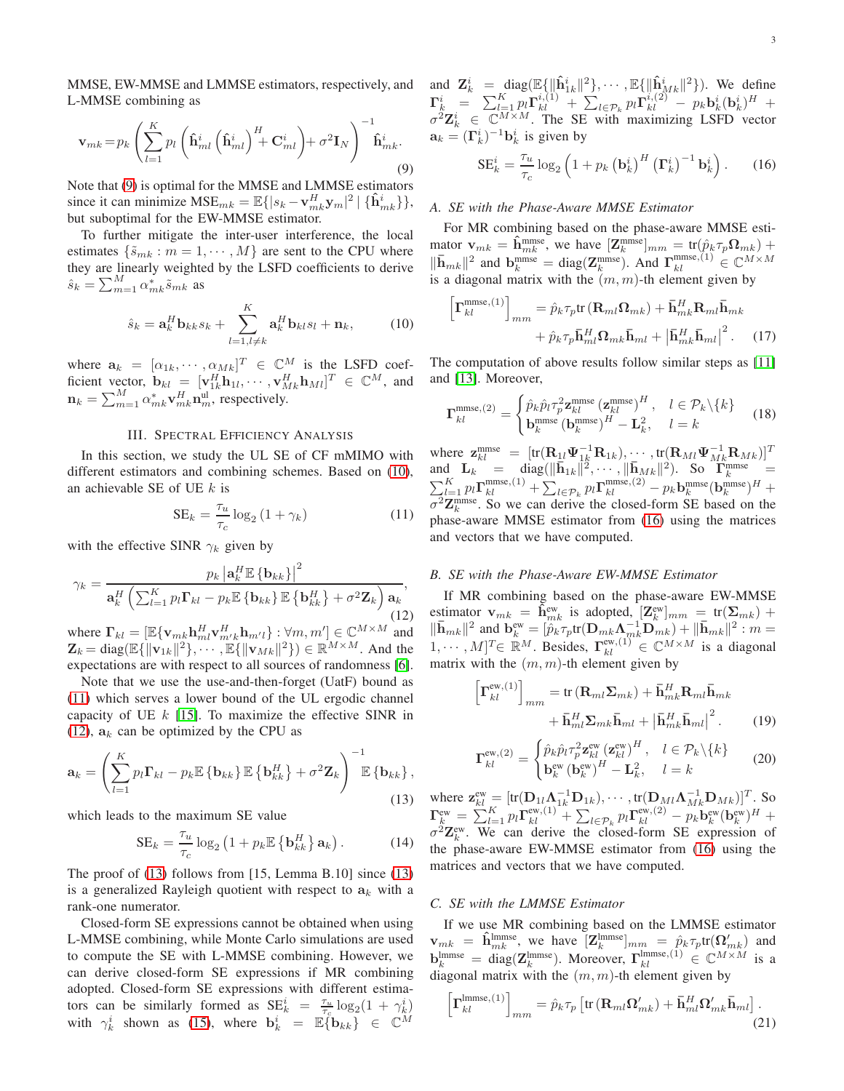MMSE, EW-MMSE and LMMSE estimators, respectively, and L-MMSE combining as

<span id="page-2-0"></span>
$$
\mathbf{v}_{mk} = p_k \left( \sum_{l=1}^{K} p_l \left( \hat{\mathbf{h}}_{ml}^i \left( \hat{\mathbf{h}}_{ml}^i \right)^H + \mathbf{C}_{ml}^i \right) + \sigma^2 \mathbf{I}_N \right)^{-1} \hat{\mathbf{h}}_{mk}^i.
$$
\n(9)

Note that [\(9\)](#page-2-0) is optimal for the MMSE and LMMSE estimators since it can minimize  $MSE_{mk} = \mathbb{E}\{|s_k - \mathbf{v}_{mk}^H \mathbf{y}_m|^2 | \{\mathbf{\hat{h}}_{mk}^i\}\},$ but suboptimal for the EW-MMSE estimator.

To further mitigate the inter-user interference, the local estimates  $\{\tilde{s}_{mk} : m = 1, \dots, M\}$  are sent to the CPU where they are linearly weighted by the LSFD coefficients to derive  $\hat{s}_k = \sum_{m=1}^{M} \alpha^*_{mk} \tilde{s}_{mk}$  as

<span id="page-2-1"></span>
$$
\hat{s}_k = \mathbf{a}_k^H \mathbf{b}_{kk} s_k + \sum_{l=1, l \neq k}^K \mathbf{a}_k^H \mathbf{b}_{kl} s_l + \mathbf{n}_k, \qquad (10)
$$

where  $\mathbf{a}_k = [\alpha_{1k}, \cdots, \alpha_{Mk}]^T \in \mathbb{C}^M$  is the LSFD coefficient vector,  $\mathbf{b}_{kl} = [\mathbf{v}_{1k}^H \mathbf{h}_{1l}, \cdots, \mathbf{v}_{Mk}^H \mathbf{h}_{Ml}]^T \in \mathbb{C}^M$ , and  $\mathbf{n}_k = \sum_{m=1}^{M} \alpha_{mk}^* \mathbf{v}_{mk}^H \mathbf{n}_m^{\text{ul}}$ , respectively.

#### III. SPECTRAL EFFICIENCY ANALYSIS

In this section, we study the UL SE of CF mMIMO with different estimators and combining schemes. Based on [\(10\)](#page-2-1), an achievable SE of UE  $k$  is

<span id="page-2-2"></span>
$$
SE_k = \frac{\tau_u}{\tau_c} \log_2 \left( 1 + \gamma_k \right) \tag{11}
$$

with the effective SINR  $\gamma_k$  given by

<span id="page-2-3"></span>
$$
\gamma_k = \frac{p_k \left| \mathbf{a}_k^H \mathbb{E} \left\{ \mathbf{b}_{kk} \right\} \right|^2}{\mathbf{a}_k^H \left( \sum_{l=1}^K p_l \mathbf{\Gamma}_{kl} - p_k \mathbb{E} \left\{ \mathbf{b}_{kk} \right\} \mathbb{E} \left\{ \mathbf{b}_{kk}^H \right\} + \sigma^2 \mathbf{Z}_k \right) \mathbf{a}_k},\tag{12}
$$

where  $\Gamma_{kl} = [\mathbb{E}\{\mathbf{v}_{mk}\mathbf{h}_{ml}^H \mathbf{v}_{m'k}^H \mathbf{h}_{m'l}\} : \forall m, m'] \in \mathbb{C}^{M \times M}$  and  $\mathbf{Z}_k = \text{diag}(\mathbb{E}\{\|\mathbf{v}_{1k}\|^2\}, \cdots, \mathbb{E}\{\|\mathbf{v}_{Mk}\|^2\}) \in \mathbb{R}^{M \times M}$ . And the expectations are with respect to all sources of randomness [\[6\]](#page-4-2).

Note that we use the use-and-then-forget (UatF) bound as [\(11\)](#page-2-2) which serves a lower bound of the UL ergodic channel capacity of UE  $k$  [\[15\]](#page-4-9). To maximize the effective SINR in [\(12\)](#page-2-3),  $a_k$  can be optimized by the CPU as

<span id="page-2-4"></span>
$$
\mathbf{a}_{k} = \left(\sum_{l=1}^{K} p_{l} \mathbf{\Gamma}_{kl} - p_{k} \mathbb{E} \left\{ \mathbf{b}_{kk} \right\} \mathbb{E} \left\{ \mathbf{b}_{kk}^{H} \right\} + \sigma^{2} \mathbf{Z}_{k} \right)^{-1} \mathbb{E} \left\{ \mathbf{b}_{kk} \right\},
$$
\n(13)

which leads to the maximum SE value

$$
SE_k = \frac{\tau_u}{\tau_c} \log_2 \left( 1 + p_k \mathbb{E} \left\{ \mathbf{b}_{kk}^H \right\} \mathbf{a}_k \right). \tag{14}
$$

The proof of [\(13\)](#page-2-4) follows from [15, Lemma B.10] since [\(13\)](#page-2-4) is a generalized Rayleigh quotient with respect to  $a_k$  with a rank-one numerator.

Closed-form SE expressions cannot be obtained when using L-MMSE combining, while Monte Carlo simulations are used to compute the SE with L-MMSE combining. However, we can derive closed-form SE expressions if MR combining adopted. Closed-form SE expressions with different estimators can be similarly formed as  $SE_k^i = \frac{\tau_u}{\tau_c} \log_2(1 + \gamma_k^i)$ with  $\gamma_k^i$  shown as [\(15\)](#page-3-0), where  $\mathbf{b}_k^i = \mathbb{E} \{ \mathbf{b}_{kk} \} \in \mathbb{C}^M$ 

and  $\mathbf{Z}_k^i = \text{diag}(\mathbb{E}\{\|\hat{\mathbf{h}}_{1k}^i\|^2\}, \cdots, \mathbb{E}\{\|\hat{\mathbf{h}}_{Mk}^i\|^2\}).$  We define  $\mathbf{\Gamma}^i_k \;\; = \;\; \sum_{l=1}^K p_l \mathbf{\Gamma}^{i,(1)}_{kl} \; + \; \sum_{l \in {\cal P}_k} p_l \mathbf{\Gamma}^{i,(2)}_{kl} \; - \; p_k \mathbf{b}^i_k (\mathbf{b}^i_k)^H \; +$  $\sigma^2 \mathbf{Z}_k^i \in \mathbb{C}^{M \times M}$ . The SE with maximizing LSFD vector  $\mathbf{a}_k = (\Gamma_k^i)^{-1} \mathbf{b}_k^i$  is given by

<span id="page-2-5"></span>
$$
SE_k^i = \frac{\tau_u}{\tau_c} \log_2 \left( 1 + p_k \left( \mathbf{b}_k^i \right)^H \left( \mathbf{\Gamma}_k^i \right)^{-1} \mathbf{b}_k^i \right). \tag{16}
$$

# *A. SE with the Phase-Aware MMSE Estimator*

h

For MR combining based on the phase-aware MMSE estimator  $\mathbf{v}_{mk} = \hat{\mathbf{h}}_{mk}^{\text{mmse}}$ , we have  $[\mathbf{Z}_k^{\text{mmse}}]_{mm} = \text{tr}(\hat{p}_k \tau_p \mathbf{\Omega}_{mk}) +$  $\|\bar{\mathbf{h}}_{mk}\|^2$  and  $\mathbf{b}_k^{\text{mmse}} = \text{diag}(\mathbf{Z}_k^{\text{mmse}})$ . And  $\mathbf{\Gamma}_{kl}^{\text{mmse},(1)} \in \mathbb{C}^{M \times M}$ is a diagonal matrix with the  $(m, m)$ -th element given by

$$
\mathbf{\Gamma}_{kl}^{\text{mmse},(1)}\Big]_{mm} = \hat{p}_k \tau_p \text{tr}\left(\mathbf{R}_{ml}\mathbf{\Omega}_{mk}\right) + \bar{\mathbf{h}}_{mk}^H \mathbf{R}_{ml} \bar{\mathbf{h}}_{mk} + \hat{p}_k \tau_p \bar{\mathbf{h}}_{ml}^H \mathbf{\Omega}_{mk} \bar{\mathbf{h}}_{ml} + \left|\bar{\mathbf{h}}_{mk}^H \bar{\mathbf{h}}_{ml}\right|^2. \tag{17}
$$

The computation of above results follow similar steps as [\[11\]](#page-4-5) and [\[13\]](#page-4-7). Moreover,

$$
\mathbf{\Gamma}_{kl}^{\text{mmse},(2)} = \begin{cases} \hat{p}_k \hat{p}_l \tau_p^2 \mathbf{z}_{kl}^{\text{mmse}} (\mathbf{z}_{kl}^{\text{mmse}})^H, & l \in \mathcal{P}_k \setminus \{k\} \\ \mathbf{b}_{k}^{\text{mmse}} (\mathbf{b}_{k}^{\text{mmse}})^H - \mathbf{L}_k^2, & l = k \end{cases} \tag{18}
$$

where  $\mathbf{z}_{kl}^{\text{mmse}} = [\text{tr}(\mathbf{R}_{1l}\Psi_{1k}^{-1}\mathbf{R}_{1k}), \cdots, \text{tr}(\mathbf{R}_{Ml}\Psi_{Mk}^{-1}\mathbf{R}_{Mk})]^T$ and  $\mathbf{L}_k = \text{diag}(\|\bar{\mathbf{h}}_{1k}\|^2, \cdots, \|\bar{\mathbf{h}}_{Mk}\|^2)$ . So  $\overline{\mathbf{T}_k}^{\text{mmse}} =$  $\sum_{l=1}^K p_l \Gamma^{\text{mmse},(1)}_{kl} + \sum_{l\in \mathcal{P}_k} p_l \Gamma^{\text{mmse},(2)}_{kl} - p_k \mathbf{b}_k^{\text{mmse}} (\mathbf{b}_k^{\text{mmse}})^H +$  $\sigma^2 \mathbf{Z}_k^{\text{mmse}}$ . So we can derive the closed-form SE based on the phase-aware MMSE estimator from [\(16\)](#page-2-5) using the matrices and vectors that we have computed.

## *B. SE with the Phase-Aware EW-MMSE Estimator*

If MR combining based on the phase-aware EW-MMSE estimator  $\mathbf{v}_{mk} = \tilde{\mathbf{h}}_{mk}^{\text{ew}}$  is adopted,  $\left[\mathbf{Z}_k^{\text{ew}}\right]_{mm} = \text{tr}(\mathbf{\Sigma}_{mk}) + \left[\mathbf{I}_{mk}^{\text{ew}}\right]_{mm}$  $\|\bar{\mathbf{h}}_{mk}\|^2$  and  $\mathbf{b}_k^{\text{ew}} = [\hat{p}_k \tau_p \text{tr}(\mathbf{D}_{mk} \mathbf{\Lambda}_{mk}^{-1} \mathbf{\bar{D}}_{mk}^{\text{T}}) + \|\bar{\mathbf{h}}_{mk}\|^2 : m =$  $[1, \cdots, M]^T \in \mathbb{R}^M$ . Besides,  $\Gamma_{kl}^{\text{ew},(1)} \in \mathbb{C}^{M \times M}$  is a diagonal matrix with the  $(m, m)$ -th element given by

$$
\left[\mathbf{\Gamma}_{kl}^{\text{ew},(1)}\right]_{mm} = \text{tr}\left(\mathbf{R}_{ml}\mathbf{\Sigma}_{mk}\right) + \bar{\mathbf{h}}_{mk}^H \mathbf{R}_{ml} \bar{\mathbf{h}}_{mk} + \bar{\mathbf{h}}_{ml}^H \mathbf{\Sigma}_{mk} \bar{\mathbf{h}}_{ml} + \left|\bar{\mathbf{h}}_{mk}^H \bar{\mathbf{h}}_{ml}\right|^2. \tag{19}
$$

$$
\Gamma_{kl}^{\text{ew},(2)} = \begin{cases} \hat{p}_k \hat{p}_l \tau_p^2 \mathbf{z}_{kl}^{\text{ew}} (\mathbf{z}_{kl}^{\text{ew}})^H, & l \in \mathcal{P}_k \setminus \{k\} \\ \mathbf{b}_{k}^{\text{ew}} (\mathbf{b}_{k}^{\text{ew}})^H - \mathbf{L}_k^2, & l = k \end{cases}
$$
(20)

where  $\mathbf{z}_{kl}^{\text{ew}} = [\text{tr}(\mathbf{D}_{1l}\mathbf{\Lambda}_{1k}^{-1}\mathbf{D}_{1k}), \cdots, \text{tr}(\mathbf{D}_{ML}\mathbf{\Lambda}_{Mk}^{-1}\mathbf{D}_{Mk})]^T$ . So  ${\bf \Gamma}^{\rm ew}_{k}=\sum_{l=1}^K p_l{\bf \Gamma}^{{\rm ew},(1)}_{kl}+\sum_{l\in {\cal P}_k} p_l{\bf \Gamma}^{{\rm ew},(2)}_{kl}-p_k{\bf b}^{{\rm ew}}_k({\bf b}^{{\rm ew}}_k)^H+$  $\sigma^2 \mathbf{Z}_k^{\text{ew}}$ . We can derive the closed-form SE expression of the phase-aware EW-MMSE estimator from [\(16\)](#page-2-5) using the matrices and vectors that we have computed.

### *C. SE with the LMMSE Estimator*

If we use MR combining based on the LMMSE estimator  $\mathbf{v}_{mk} = \hat{\mathbf{h}}_{mk}^{\text{lmmse}}$ , we have  $[\mathbf{Z}_k^{\text{lmmse}}]_{mm} = \hat{p}_k \tau_p \text{tr}(\mathbf{\Omega}_{mk}')$  and  $\mathbf{b}_k^{\text{lmmse}} = \text{diag}(\mathbf{Z}_k^{\text{lmmse}})$ . Moreover,  $\mathbf{\Gamma}_{kl}^{\text{lmmse},(1)} \in \mathbb{C}^{M \times M}$  is a diagonal matrix with the  $(m, m)$ -th element given by

$$
\left[\mathbf{\Gamma}_{kl}^{\text{lmmse},(1)}\right]_{mm} = \hat{p}_k \tau_p \left[\text{tr}\left(\mathbf{R}_{ml}\mathbf{\Omega}_{mk}'\right) + \mathbf{\bar{h}}_{ml}^H \mathbf{\Omega}_{mk}' \mathbf{\bar{h}}_{ml}\right].
$$
\n(21)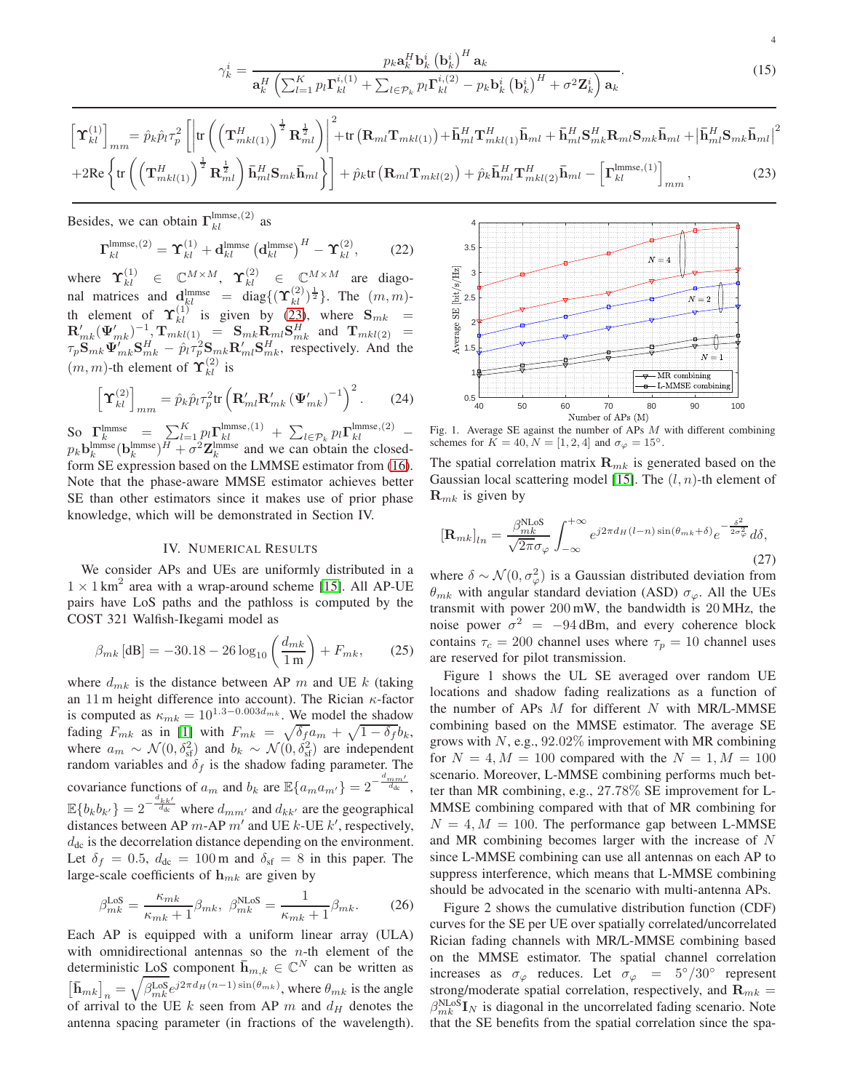$$
\gamma_k^i = \frac{p_k \mathbf{a}_k^H \mathbf{b}_k^i (\mathbf{b}_k^i)^H \mathbf{a}_k}{\mathbf{a}_k^H \left( \sum_{l=1}^K p_l \mathbf{\Gamma}_{kl}^{i,(1)} + \sum_{l \in \mathcal{P}_k} p_l \mathbf{\Gamma}_{kl}^{i,(2)} - p_k \mathbf{b}_k^i (\mathbf{b}_k^i)^H + \sigma^2 \mathbf{Z}_k^i \right) \mathbf{a}_k}.
$$
(15)

$$
\begin{split}\n\left[\mathbf{\hat{T}}_{kl}^{(1)}\right]_{mm} &= \hat{p}_{k}\hat{p}_{l}\tau_{p}^{2}\left[\left|\text{tr}\left(\left(\mathbf{T}_{mkl(1)}^{H}\right)^{\frac{1}{2}}\mathbf{R}_{ml}^{\frac{1}{2}}\right)\right|^{2} + \text{tr}\left(\mathbf{R}_{ml}\mathbf{T}_{mkl(1)}\right) + \bar{\mathbf{h}}_{ml}^{H}\mathbf{T}_{mkl(1)}^{H}\bar{\mathbf{h}}_{ml} + \bar{\mathbf{h}}_{ml}^{H}\mathbf{S}_{mk}^{H}\mathbf{R}_{ml}\mathbf{S}_{mk}\bar{\mathbf{h}}_{ml} + \left|\bar{\mathbf{h}}_{ml}^{H}\mathbf{S}_{mk}\bar{\mathbf{h}}_{ml}\right|^{2} \\
&+ 2\text{Re}\left\{\text{tr}\left(\left(\mathbf{T}_{mkl(1)}^{H}\right)^{\frac{1}{2}}\mathbf{R}_{ml}^{\frac{1}{2}}\right)\bar{\mathbf{h}}_{ml}^{H}\mathbf{S}_{mk}\bar{\mathbf{h}}_{ml}\right\}\right] + \hat{p}_{k}\text{tr}\left(\mathbf{R}_{ml}\mathbf{T}_{mkl(2)}\right) + \hat{p}_{k}\bar{\mathbf{h}}_{ml}^{H}\mathbf{T}_{mkl(2)}^{H}\bar{\mathbf{h}}_{ml} - \left[\mathbf{T}_{kl}^{lmmse,(1)}\right]_{mm},\n\end{split} \tag{23}
$$

Besides, we can obtain  $\Gamma_{kl}^{\text{lmmse},(2)}$  as

$$
\mathbf{\Gamma}_{kl}^{\text{lmmse},(2)} = \mathbf{\hat{\Upsilon}}_{kl}^{(1)} + \mathbf{d}_{kl}^{\text{lmmse}} \left(\mathbf{d}_{kl}^{\text{lmmse}}\right)^H - \mathbf{\hat{\Upsilon}}_{kl}^{(2)},\qquad(22)
$$

where  $\Upsilon_{kl}^{(1)} \in \mathbb{C}^{M \times M}$ ,  $\Upsilon_{kl}^{(2)} \in \mathbb{C}^{M \times M}$  are diagonal matrices and  $\frac{d_{kl}^{lmmse}}{dt^{kl}} = \frac{d_{kl}^{lmmse}}{dt^{kl}} = \frac{d_{kl}^{lmmse}}{dt^{kl}}$ . The  $(m, m)$ th element of  $\Upsilon_{kl}^{(1)}$  is given by [\(23\)](#page-3-1), where  $S_{mk}$  =  $\mathbf{R}'_{mk}(\boldsymbol{\Psi}'_{mk})^{-1}$ ,  $\mathbf{T}_{mkl(1)}$  =  $\mathbf{S}_{mk}\mathbf{R}_{ml}\mathbf{S}_{mk}^H$  and  $\mathbf{T}_{mkl(2)}$  =  $\tau_p \mathbf{S}_{mk} \mathbf{\Psi}'_{mk} \mathbf{S}_{mk}^H - \hat{p}_l \tau_p^2 \mathbf{S}_{mk} \mathbf{R}'_{ml} \mathbf{S}_{mk}^H$ , respectively. And the  $(m, m)$ -th element of  $\Upsilon_{kl}^{(2)}$  is

$$
\left[\mathbf{\hat{T}}_{kl}^{(2)}\right]_{mm} = \hat{p}_k \hat{p}_l \tau_p^2 \text{tr}\left(\mathbf{R}_{ml}^{\prime} \mathbf{R}_{mk}^{\prime} \left(\mathbf{\Psi}_{mk}^{\prime}\right)^{-1}\right)^2. \tag{24}
$$

So  $\Gamma_k^{\text{lmmse}} = \sum_{k}^{K} \prod_{l=1}^{L} p_l \Gamma_{kl}^{\text{lmmse},(1)} + \sum_{l \in \mathcal{P}_k} p_l \Gamma_{kl}^{\text{lmmse},(2)}$  –  $p_k$ **b**<sup>lmmse</sup>(**b**<sup>lmmse</sup>)<sup>*H*</sup> +  $\sigma^2$ **Z**<sup>lmmse</sup> and we can obtain the closedform SE expression based on the LMMSE estimator from [\(16\)](#page-2-5). Note that the phase-aware MMSE estimator achieves better SE than other estimators since it makes use of prior phase knowledge, which will be demonstrated in Section IV.

# IV. NUMERICAL RESULTS

We consider APs and UEs are uniformly distributed in a  $1 \times 1$  km<sup>2</sup> area with a wrap-around scheme [\[15\]](#page-4-9). All AP-UE pairs have LoS paths and the pathloss is computed by the COST 321 Walfish-Ikegami model as

$$
\beta_{mk} [\text{dB}] = -30.18 - 26 \log_{10} \left( \frac{d_{mk}}{1 \text{ m}} \right) + F_{mk}, \quad (25)
$$

where  $d_{mk}$  is the distance between AP m and UE k (taking an 11 m height difference into account). The Rician  $\kappa$ -factor is computed as  $\kappa_{mk} = 10^{1.3 - 0.003 d_{mk}}$ . We model the shadow fading  $F_{mk}$  as in [\[1\]](#page-4-0) with  $F_{mk} = \sqrt{\delta_f a_m} + \sqrt{1 - \delta_f b_k}$ , where  $a_m \sim \mathcal{N}(0, \delta_{\rm sf}^2)$  and  $b_k \sim \mathcal{N}(0, \delta_{\rm sf}^2)$  are independent random variables and  $\delta_f$  is the shadow fading parameter. The covariance functions of  $a_m$  and  $b_k$  are  $\mathbb{E}\{a_m a_{m'}\}=2^{-\frac{d_{mm'}}{d_{\text{dc}}}},$  $\mathbb{E}\{b_k b_{k'}\} = 2^{-\frac{d_{kk'}}{d_{dc}}}$  where  $d_{mm'}$  and  $d_{kk'}$  are the geographical distances between AP  $m$ -AP  $m'$  and UE  $k$ -UE  $k'$ , respectively,  $d_{\text{dc}}$  is the decorrelation distance depending on the environment. Let  $\delta_f = 0.5$ ,  $d_{dc} = 100$  m and  $\delta_{sf} = 8$  in this paper. The large-scale coefficients of  $h_{mk}$  are given by

$$
\beta_{mk}^{\text{LoS}} = \frac{\kappa_{mk}}{\kappa_{mk} + 1} \beta_{mk}, \ \beta_{mk}^{\text{NLoS}} = \frac{1}{\kappa_{mk} + 1} \beta_{mk}.
$$
 (26)

Each AP is equipped with a uniform linear array (ULA) with omnidirectional antennas so the  $n$ -th element of the deterministic <u>LoS</u> component  $\bar{\mathbf{h}}_{m,k} \in \mathbb{C}^N$  can be written as  $\left[\bar{\mathbf{h}}_{mk}\right]_n = \sqrt{\beta_{mk}^{\text{LoS}}} e^{j2\pi d_H(n-1)\sin(\theta_{mk})}$ , where  $\theta_{mk}$  is the angle of arrival to the UE k seen from AP m and  $d_H$  denotes the antenna spacing parameter (in fractions of the wavelength).



<span id="page-3-1"></span><span id="page-3-0"></span>4

Fig. 1. Average SE against the number of APs  $M$  with different combining schemes for  $K = 40, N = [1, 2, 4]$  and  $\sigma_{\varphi} = 15^{\circ}$ .

The spatial correlation matrix  $\mathbf{R}_{mk}$  is generated based on the Gaussian local scattering model [\[15\]](#page-4-9). The  $(l, n)$ -th element of  $\mathbf{R}_{mk}$  is given by

$$
\left[\mathbf{R}_{mk}\right]_{ln} = \frac{\beta_{mk}^{\text{NLoS}}}{\sqrt{2\pi}\sigma_{\varphi}} \int_{-\infty}^{+\infty} e^{j2\pi d_H(l-n)\sin(\theta_{mk}+\delta)} e^{-\frac{\delta^2}{2\sigma_{\varphi}^2}} d\delta,
$$
\n(27)

where  $\delta \sim \mathcal{N}(0, \sigma_{\varphi}^2)$  is a Gaussian distributed deviation from  $\theta_{mk}$  with angular standard deviation (ASD)  $\sigma_{\varphi}$ . All the UEs transmit with power 200 mW, the bandwidth is 20 MHz, the noise power  $\sigma^2 = -94$  dBm, and every coherence block contains  $\tau_c = 200$  channel uses where  $\tau_p = 10$  channel uses are reserved for pilot transmission.

Figure 1 shows the UL SE averaged over random UE locations and shadow fading realizations as a function of the number of APs  $M$  for different  $N$  with MR/L-MMSE combining based on the MMSE estimator. The average SE grows with  $N$ , e.g., 92.02% improvement with MR combining for  $N = 4, M = 100$  compared with the  $N = 1, M = 100$ scenario. Moreover, L-MMSE combining performs much better than MR combining, e.g., 27.78% SE improvement for L-MMSE combining compared with that of MR combining for  $N = 4, M = 100$ . The performance gap between L-MMSE and MR combining becomes larger with the increase of N since L-MMSE combining can use all antennas on each AP to suppress interference, which means that L-MMSE combining should be advocated in the scenario with multi-antenna APs.

Figure 2 shows the cumulative distribution function (CDF) curves for the SE per UE over spatially correlated/uncorrelated Rician fading channels with MR/L-MMSE combining based on the MMSE estimator. The spatial channel correlation increases as  $\sigma_{\varphi}$  reduces. Let  $\sigma_{\varphi} = 5^{\circ}/30^{\circ}$  represent strong/moderate spatial correlation, respectively, and  $\mathbf{R}_{mk} =$  $\beta_{mk}^{\text{NLoS}} \mathbf{I}_N$  is diagonal in the uncorrelated fading scenario. Note that the SE benefits from the spatial correlation since the spa-